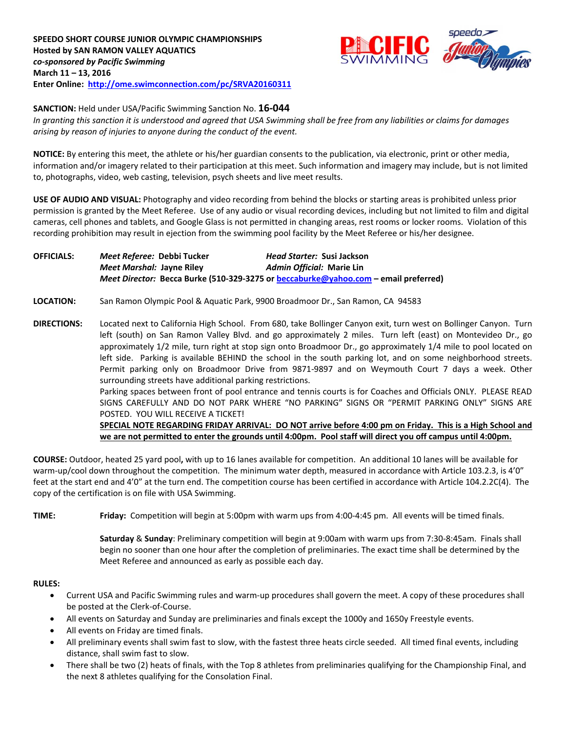

**SANCTION:** Held under USA/Pacific Swimming Sanction No. **16-044**

*In granting this sanction it is understood and agreed that USA Swimming shall be free from any liabilities or claims for damages arising by reason of injuries to anyone during the conduct of the event.*

**NOTICE:** By entering this meet, the athlete or his/her guardian consents to the publication, via electronic, print or other media, information and/or imagery related to their participation at this meet. Such information and imagery may include, but is not limited to, photographs, video, web casting, television, psych sheets and live meet results.

**USE OF AUDIO AND VISUAL:** Photography and video recording from behind the blocks or starting areas is prohibited unless prior permission is granted by the Meet Referee. Use of any audio or visual recording devices, including but not limited to film and digital cameras, cell phones and tablets, and Google Glass is not permitted in changing areas, rest rooms or locker rooms. Violation of this recording prohibition may result in ejection from the swimming pool facility by the Meet Referee or his/her designee.

**OFFICIALS:** *Meet Referee:* **Debbi Tucker** *Head Starter:* **Susi Jackson** *Meet Marshal:* **Jayne Riley** *Admin Official:* **Marie Lin** *Meet Director:* **Becca Burke (510-329-3275 o[r beccaburke@yahoo.com](mailto:beccaburke@yahoo.com) – email preferred)**

**LOCATION:** San Ramon Olympic Pool & Aquatic Park, 9900 Broadmoor Dr., San Ramon, CA 94583

**DIRECTIONS:** Located next to California High School. From 680, take Bollinger Canyon exit, turn west on Bollinger Canyon. Turn left (south) on San Ramon Valley Blvd. and go approximately 2 miles. Turn left (east) on Montevideo Dr., go approximately 1/2 mile, turn right at stop sign onto Broadmoor Dr., go approximately 1/4 mile to pool located on left side. Parking is available BEHIND the school in the south parking lot, and on some neighborhood streets. Permit parking only on Broadmoor Drive from 9871-9897 and on Weymouth Court 7 days a week. Other surrounding streets have additional parking restrictions.

> Parking spaces between front of pool entrance and tennis courts is for Coaches and Officials ONLY. PLEASE READ SIGNS CAREFULLY AND DO NOT PARK WHERE "NO PARKING" SIGNS OR "PERMIT PARKING ONLY" SIGNS ARE POSTED. YOU WILL RECEIVE A TICKET!

> **SPECIAL NOTE REGARDING FRIDAY ARRIVAL: DO NOT arrive before 4:00 pm on Friday. This is a High School and we are not permitted to enter the grounds until 4:00pm. Pool staff will direct you off campus until 4:00pm.**

**COURSE:** Outdoor, heated 25 yard pool**,** with up to 16 lanes available for competition.An additional 10 lanes will be available for warm-up/cool down throughout the competition. The minimum water depth, measured in accordance with Article 103.2.3, is 4'0" feet at the start end and 4'0" at the turn end. The competition course has been certified in accordance with Article 104.2.2C(4). The copy of the certification is on file with USA Swimming.

**TIME: Friday:** Competition will begin at 5:00pm with warm ups from 4:00-4:45 pm. All events will be timed finals.

**Saturday** & **Sunday**: Preliminary competition will begin at 9:00am with warm ups from 7:30-8:45am. Finals shall begin no sooner than one hour after the completion of preliminaries. The exact time shall be determined by the Meet Referee and announced as early as possible each day.

## **RULES:**

- Current USA and Pacific Swimming rules and warm-up procedures shall govern the meet. A copy of these procedures shall be posted at the Clerk-of-Course.
- All events on Saturday and Sunday are preliminaries and finals except the 1000y and 1650y Freestyle events.
- All events on Friday are timed finals.
- All preliminary events shall swim fast to slow, with the fastest three heats circle seeded. All timed final events, including distance, shall swim fast to slow.
- There shall be two (2) heats of finals, with the Top 8 athletes from preliminaries qualifying for the Championship Final, and the next 8 athletes qualifying for the Consolation Final.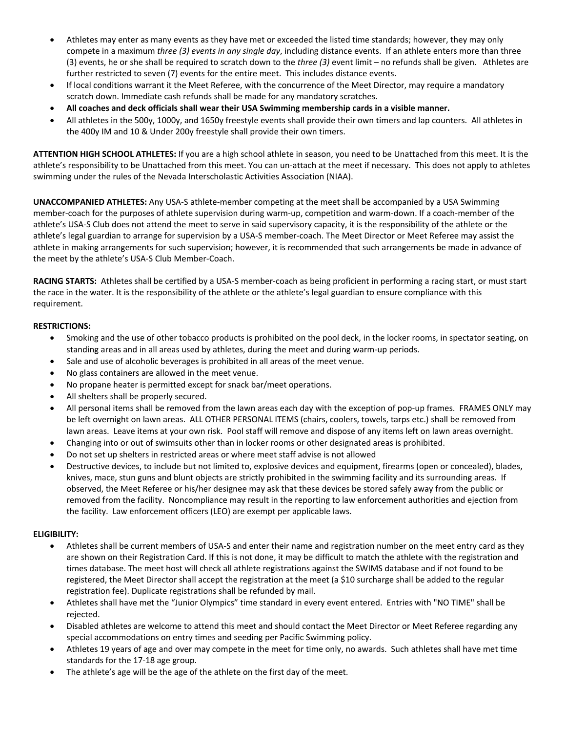- Athletes may enter as many events as they have met or exceeded the listed time standards; however, they may only compete in a maximum *three (3) events in any single day*, including distance events. If an athlete enters more than three (3) events, he or she shall be required to scratch down to the *three (3)* event limit – no refunds shall be given. Athletes are further restricted to seven (7) events for the entire meet. This includes distance events.
- If local conditions warrant it the Meet Referee, with the concurrence of the Meet Director, may require a mandatory scratch down. Immediate cash refunds shall be made for any mandatory scratches.
- **All coaches and deck officials shall wear their USA Swimming membership cards in a visible manner.**
- All athletes in the 500y, 1000y, and 1650y freestyle events shall provide their own timers and lap counters. All athletes in the 400y IM and 10 & Under 200y freestyle shall provide their own timers.

**ATTENTION HIGH SCHOOL ATHLETES:** If you are a high school athlete in season, you need to be Unattached from this meet. It is the athlete's responsibility to be Unattached from this meet. You can un-attach at the meet if necessary. This does not apply to athletes swimming under the rules of the Nevada Interscholastic Activities Association (NIAA).

**UNACCOMPANIED ATHLETES:** Any USA-S athlete-member competing at the meet shall be accompanied by a USA Swimming member-coach for the purposes of athlete supervision during warm-up, competition and warm-down. If a coach-member of the athlete's USA-S Club does not attend the meet to serve in said supervisory capacity, it is the responsibility of the athlete or the athlete's legal guardian to arrange for supervision by a USA-S member-coach. The Meet Director or Meet Referee may assist the athlete in making arrangements for such supervision; however, it is recommended that such arrangements be made in advance of the meet by the athlete's USA-S Club Member-Coach.

**RACING STARTS:** Athletes shall be certified by a USA-S member-coach as being proficient in performing a racing start, or must start the race in the water. It is the responsibility of the athlete or the athlete's legal guardian to ensure compliance with this requirement.

## **RESTRICTIONS:**

- Smoking and the use of other tobacco products is prohibited on the pool deck, in the locker rooms, in spectator seating, on standing areas and in all areas used by athletes, during the meet and during warm-up periods.
- Sale and use of alcoholic beverages is prohibited in all areas of the meet venue.
- No glass containers are allowed in the meet venue.
- No propane heater is permitted except for snack bar/meet operations.
- All shelters shall be properly secured.
- All personal items shall be removed from the lawn areas each day with the exception of pop-up frames. FRAMES ONLY may be left overnight on lawn areas. ALL OTHER PERSONAL ITEMS (chairs, coolers, towels, tarps etc.) shall be removed from lawn areas. Leave items at your own risk. Pool staff will remove and dispose of any items left on lawn areas overnight.
- Changing into or out of swimsuits other than in locker rooms or other designated areas is prohibited.
- Do not set up shelters in restricted areas or where meet staff advise is not allowed
- Destructive devices, to include but not limited to, explosive devices and equipment, firearms (open or concealed), blades, knives, mace, stun guns and blunt objects are strictly prohibited in the swimming facility and its surrounding areas. If observed, the Meet Referee or his/her designee may ask that these devices be stored safely away from the public or removed from the facility. Noncompliance may result in the reporting to law enforcement authorities and ejection from the facility. Law enforcement officers (LEO) are exempt per applicable laws.

## **ELIGIBILITY:**

- Athletes shall be current members of USA-S and enter their name and registration number on the meet entry card as they are shown on their Registration Card. If this is not done, it may be difficult to match the athlete with the registration and times database. The meet host will check all athlete registrations against the SWIMS database and if not found to be registered, the Meet Director shall accept the registration at the meet (a \$10 surcharge shall be added to the regular registration fee). Duplicate registrations shall be refunded by mail.
- Athletes shall have met the "Junior Olympics" time standard in every event entered. Entries with "NO TIME" shall be rejected.
- Disabled athletes are welcome to attend this meet and should contact the Meet Director or Meet Referee regarding any special accommodations on entry times and seeding per Pacific Swimming policy.
- Athletes 19 years of age and over may compete in the meet for time only, no awards. Such athletes shall have met time standards for the 17-18 age group.
- The athlete's age will be the age of the athlete on the first day of the meet.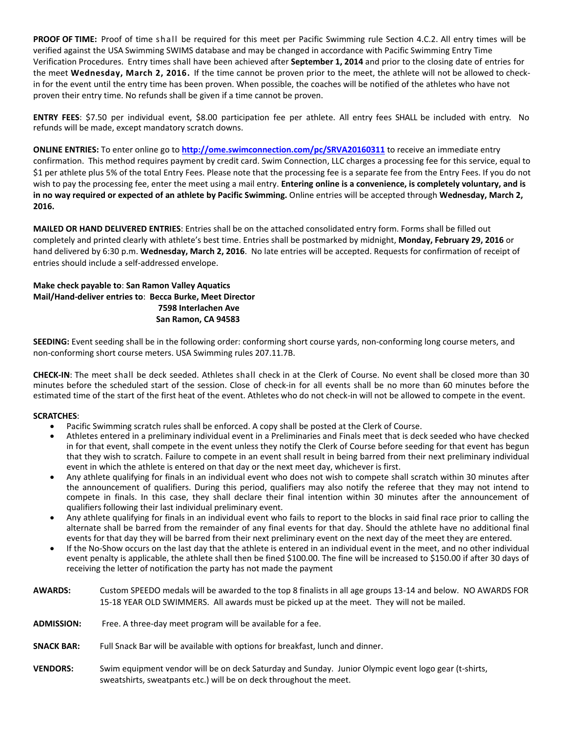**PROOF OF TIME:** Proof of time shall be required for this meet per Pacific Swimming rule Section 4.C.2. All entry times will be verified against the USA Swimming SWIMS database and may be changed in accordance with Pacific Swimming Entry Time Verification Procedures. Entry times shall have been achieved after **September 1, 2014** and prior to the closing date of entries for the meet **Wednesday, March 2, 2016.** If the time cannot be proven prior to the meet, the athlete will not be allowed to checkin for the event until the entry time has been proven. When possible, the coaches will be notified of the athletes who have not proven their entry time. No refunds shall be given if a time cannot be proven.

**ENTRY FEES**: \$7.50 per individual event, \$8.00 participation fee per athlete. All entry fees SHALL be included with entry. No refunds will be made, except mandatory scratch downs.

**ONLINE ENTRIES:** To enter online go to **<http://ome.swimconnection.com/pc/SRVA20160311>** to receive an immediate entry confirmation. This method requires payment by credit card. Swim Connection, LLC charges a processing fee for this service, equal to \$1 per athlete plus 5% of the total Entry Fees. Please note that the processing fee is a separate fee from the Entry Fees. If you do not wish to pay the processing fee, enter the meet using a mail entry. **Entering online is a convenience, is completely voluntary, and is in no way required or expected of an athlete by Pacific Swimming.** Online entries will be accepted through **Wednesday, March 2, 2016.**

**MAILED OR HAND DELIVERED ENTRIES**: Entries shall be on the attached consolidated entry form. Forms shall be filled out completely and printed clearly with athlete's best time. Entries shall be postmarked by midnight, **Monday, February 29, 2016** or hand delivered by 6:30 p.m. **Wednesday, March 2, 2016**. No late entries will be accepted. Requests for confirmation of receipt of entries should include a self-addressed envelope.

## **Make check payable to**: **San Ramon Valley Aquatics Mail/Hand-deliver entries to**: **Becca Burke, Meet Director 7598 Interlachen Ave San Ramon, CA 94583**

**SEEDING:** Event seeding shall be in the following order: conforming short course yards, non-conforming long course meters, and non-conforming short course meters. USA Swimming rules 207.11.7B.

**CHECK-IN**: The meet shall be deck seeded. Athletes shall check in at the Clerk of Course. No event shall be closed more than 30 minutes before the scheduled start of the session. Close of check-in for all events shall be no more than 60 minutes before the estimated time of the start of the first heat of the event. Athletes who do not check-in will not be allowed to compete in the event.

## **SCRATCHES**:

- Pacific Swimming scratch rules shall be enforced. A copy shall be posted at the Clerk of Course.
- Athletes entered in a preliminary individual event in a Preliminaries and Finals meet that is deck seeded who have checked in for that event, shall compete in the event unless they notify the Clerk of Course before seeding for that event has begun that they wish to scratch. Failure to compete in an event shall result in being barred from their next preliminary individual event in which the athlete is entered on that day or the next meet day, whichever is first.
- Any athlete qualifying for finals in an individual event who does not wish to compete shall scratch within 30 minutes after the announcement of qualifiers. During this period, qualifiers may also notify the referee that they may not intend to compete in finals. In this case, they shall declare their final intention within 30 minutes after the announcement of qualifiers following their last individual preliminary event.
- Any athlete qualifying for finals in an individual event who fails to report to the blocks in said final race prior to calling the alternate shall be barred from the remainder of any final events for that day. Should the athlete have no additional final events for that day they will be barred from their next preliminary event on the next day of the meet they are entered.
- If the No-Show occurs on the last day that the athlete is entered in an individual event in the meet, and no other individual event penalty is applicable, the athlete shall then be fined \$100.00. The fine will be increased to \$150.00 if after 30 days of receiving the letter of notification the party has not made the payment
- **AWARDS:** Custom SPEEDO medals will be awarded to the top 8 finalists in all age groups 13-14 and below. NO AWARDS FOR 15-18 YEAR OLD SWIMMERS. All awards must be picked up at the meet. They will not be mailed.
- **ADMISSION:** Free. A three-day meet program will be available for a fee.
- **SNACK BAR:** Full Snack Bar will be available with options for breakfast, lunch and dinner.
- **VENDORS:** Swim equipment vendor will be on deck Saturday and Sunday. Junior Olympic event logo gear (t-shirts, sweatshirts, sweatpants etc.) will be on deck throughout the meet.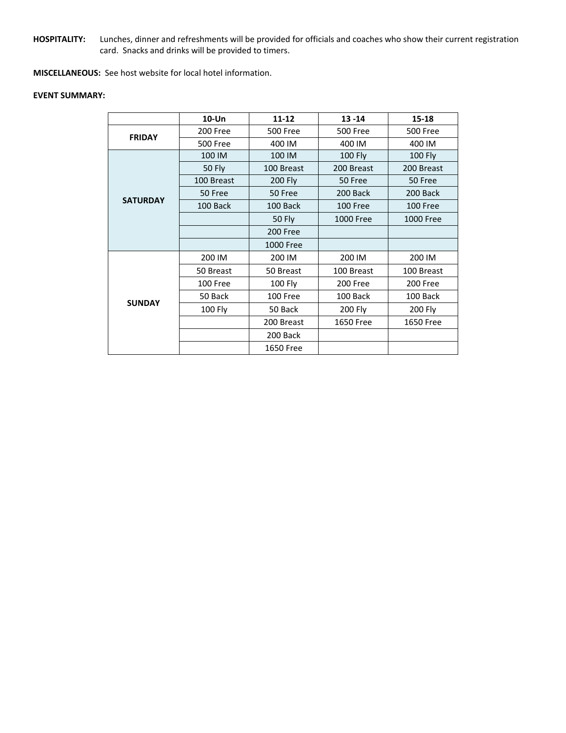**HOSPITALITY:** Lunches, dinner and refreshments will be provided for officials and coaches who show their current registration card. Snacks and drinks will be provided to timers.

**MISCELLANEOUS:** See host website for local hotel information.

#### **EVENT SUMMARY:**

|                 | $10 - Un$       | $11 - 12$        | $13 - 14$        | 15-18           |  |
|-----------------|-----------------|------------------|------------------|-----------------|--|
| <b>FRIDAY</b>   | 200 Free        | <b>500 Free</b>  | <b>500 Free</b>  | <b>500 Free</b> |  |
|                 | <b>500 Free</b> | 400 IM           | 400 IM           | 400 IM          |  |
|                 | 100 IM          | 100 IM           | <b>100 Fly</b>   | <b>100 Fly</b>  |  |
|                 | <b>50 Fly</b>   | 100 Breast       | 200 Breast       | 200 Breast      |  |
|                 | 100 Breast      | <b>200 Fly</b>   | 50 Free          | 50 Free         |  |
|                 | 50 Free         | 50 Free          | 200 Back         | 200 Back        |  |
| <b>SATURDAY</b> | 100 Back        | 100 Back         | 100 Free         | 100 Free        |  |
|                 |                 | <b>50 Fly</b>    | <b>1000 Free</b> | 1000 Free       |  |
|                 |                 | 200 Free         |                  |                 |  |
|                 |                 | 1000 Free        |                  |                 |  |
|                 | 200 IM          | 200 IM           | 200 IM           | 200 IM          |  |
|                 | 50 Breast       | 50 Breast        | 100 Breast       | 100 Breast      |  |
|                 | 100 Free        | 100 Fly          | 200 Free         | 200 Free        |  |
| <b>SUNDAY</b>   | 50 Back         | 100 Free         | 100 Back         | 100 Back        |  |
|                 | 100 Fly         | 50 Back          | 200 Fly          | 200 Fly         |  |
|                 |                 | 200 Breast       | 1650 Free        | 1650 Free       |  |
|                 |                 | 200 Back         |                  |                 |  |
|                 |                 | <b>1650 Free</b> |                  |                 |  |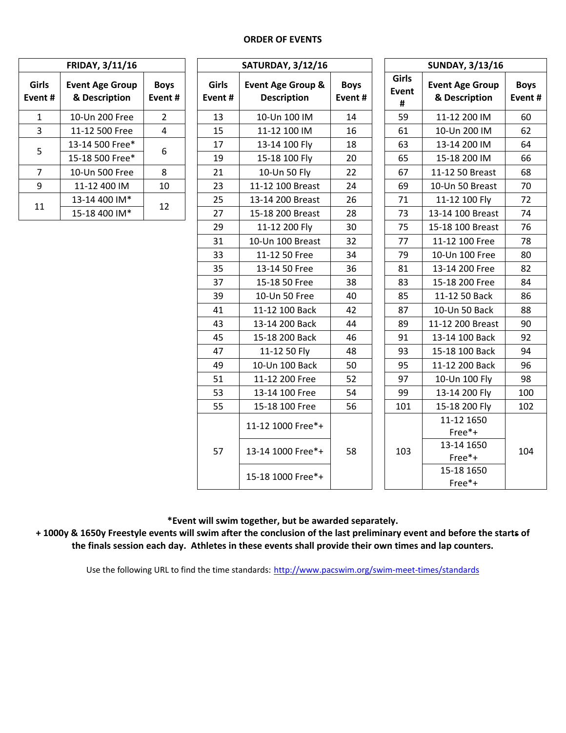#### **ORDER OF EVENTS**

| <b>FRIDAY, 3/11/16</b> |                                         |                        |  |  |  |
|------------------------|-----------------------------------------|------------------------|--|--|--|
| Girls<br>Event #       | <b>Event Age Group</b><br>& Description | <b>Boys</b><br>Event # |  |  |  |
| 1                      | 10-Un 200 Free                          | $\overline{2}$         |  |  |  |
| 3                      | 11-12 500 Free                          | 4                      |  |  |  |
| 5                      | 13-14 500 Free*                         | 6                      |  |  |  |
|                        | 15-18 500 Free*                         |                        |  |  |  |
| 7                      | 10-Un 500 Free                          | 8                      |  |  |  |
| ٩                      | 11-12 400 IM                            | 10                     |  |  |  |
| 11                     | 13-14 400 IM*                           | 12                     |  |  |  |
|                        | 15-18 400 IM*                           |                        |  |  |  |

| <b>FRIDAY, 3/11/16</b>                                                                          |                                         |                       | <b>SATURDAY, 3/12/16</b> |                                                    |                       |                                                                                                                                                                                                                                                                                    | <b>SUNDAY, 3/13/16</b>                  |                       |  |  |
|-------------------------------------------------------------------------------------------------|-----------------------------------------|-----------------------|--------------------------|----------------------------------------------------|-----------------------|------------------------------------------------------------------------------------------------------------------------------------------------------------------------------------------------------------------------------------------------------------------------------------|-----------------------------------------|-----------------------|--|--|
| irls                                                                                            | <b>Event Age Group</b><br>& Description | <b>Boys</b><br>Event# | <b>Girls</b><br>Event#   | <b>Event Age Group &amp;</b><br><b>Description</b> | <b>Boys</b><br>Event# | Girls<br>Event<br>#                                                                                                                                                                                                                                                                | <b>Event Age Group</b><br>& Description | <b>Boys</b><br>Event# |  |  |
|                                                                                                 | 10-Un 200 Free                          | $\overline{2}$        | 13                       | 10-Un 100 IM                                       | 14                    | 59                                                                                                                                                                                                                                                                                 | 11-12 200 IM                            | 60                    |  |  |
|                                                                                                 | 11-12 500 Free                          | $\overline{4}$        | 15                       | 11-12 100 IM                                       | 16                    | 61                                                                                                                                                                                                                                                                                 | 10-Un 200 IM                            | 62                    |  |  |
|                                                                                                 | 13-14 500 Free*                         | 6                     | 17                       | 13-14 100 Fly                                      | 18                    | 63                                                                                                                                                                                                                                                                                 | 13-14 200 IM                            | 64                    |  |  |
| nt#<br>$\mathbf{1}$<br>$\overline{\overline{3}}$<br>5<br>$\overline{7}$<br>9<br>$\overline{11}$ | 15-18 500 Free*                         |                       | 19                       | 15-18 100 Fly                                      | 20                    | 65                                                                                                                                                                                                                                                                                 | 15-18 200 IM                            | 66                    |  |  |
|                                                                                                 | 10-Un 500 Free                          | 8                     | 21                       | 10-Un 50 Fly                                       | 22                    | 67                                                                                                                                                                                                                                                                                 | 11-12 50 Breast                         | 68                    |  |  |
|                                                                                                 | 11-12 400 IM                            | 10                    | 23                       | 11-12 100 Breast                                   | 24                    | 69                                                                                                                                                                                                                                                                                 | 10-Un 50 Breast                         | 70                    |  |  |
|                                                                                                 | 13-14 400 IM*                           |                       | 25                       | 13-14 200 Breast                                   | 26                    | 11-12 100 Fly<br>71<br>73<br>75<br>77<br>79<br>81<br>83<br>85<br>11-12 50 Back<br>10-Un 50 Back<br>87<br>89<br>91<br>93<br>95<br>97<br>10-Un 100 Fly<br>99<br>13-14 200 Fly<br>101<br>15-18 200 Fly<br>11-12 1650<br>Free*+<br>13-14 1650<br>103<br>Free*+<br>15-18 1650<br>Free*+ |                                         | 72                    |  |  |
|                                                                                                 | 15-18 400 IM*                           | 12                    | 27                       | 15-18 200 Breast                                   | 28                    |                                                                                                                                                                                                                                                                                    | 13-14 100 Breast                        | 74                    |  |  |
|                                                                                                 |                                         |                       | 29                       | 11-12 200 Fly                                      | 30                    |                                                                                                                                                                                                                                                                                    | 15-18 100 Breast                        | 76                    |  |  |
|                                                                                                 |                                         |                       | 31                       | 10-Un 100 Breast                                   | 32                    |                                                                                                                                                                                                                                                                                    | 11-12 100 Free                          | 78                    |  |  |
|                                                                                                 |                                         |                       | 33                       | 11-12 50 Free                                      | 34                    |                                                                                                                                                                                                                                                                                    | 10-Un 100 Free                          | 80                    |  |  |
|                                                                                                 |                                         |                       | 35                       | 13-14 50 Free                                      | 36                    |                                                                                                                                                                                                                                                                                    | 13-14 200 Free                          | 82                    |  |  |
|                                                                                                 |                                         |                       | 37                       | 15-18 50 Free                                      | 38                    |                                                                                                                                                                                                                                                                                    | 15-18 200 Free                          | 84                    |  |  |
|                                                                                                 |                                         |                       | 39                       | 10-Un 50 Free                                      | 40                    |                                                                                                                                                                                                                                                                                    |                                         | 86                    |  |  |
|                                                                                                 |                                         |                       | 41                       | 11-12 100 Back                                     | 42                    |                                                                                                                                                                                                                                                                                    |                                         | 88                    |  |  |
|                                                                                                 |                                         |                       | 43                       | 13-14 200 Back                                     | 44                    |                                                                                                                                                                                                                                                                                    | 11-12 200 Breast                        | 90                    |  |  |
|                                                                                                 |                                         |                       | 45                       | 15-18 200 Back                                     | 46                    |                                                                                                                                                                                                                                                                                    | 13-14 100 Back                          | 92                    |  |  |
|                                                                                                 |                                         |                       | 47                       | 11-12 50 Fly                                       | 48                    |                                                                                                                                                                                                                                                                                    | 15-18 100 Back                          | 94                    |  |  |
|                                                                                                 |                                         |                       | 49                       | 10-Un 100 Back                                     | 50                    |                                                                                                                                                                                                                                                                                    | 11-12 200 Back                          | 96                    |  |  |
|                                                                                                 |                                         |                       | 51                       | 11-12 200 Free                                     | 52                    |                                                                                                                                                                                                                                                                                    |                                         | 98                    |  |  |
|                                                                                                 |                                         |                       | 53                       | 13-14 100 Free                                     | 54                    |                                                                                                                                                                                                                                                                                    |                                         | 100                   |  |  |
|                                                                                                 |                                         |                       | 55                       | 15-18 100 Free                                     | 56                    |                                                                                                                                                                                                                                                                                    |                                         | 102                   |  |  |
|                                                                                                 |                                         |                       |                          | 11-12 1000 Free*+                                  |                       |                                                                                                                                                                                                                                                                                    |                                         |                       |  |  |
|                                                                                                 |                                         |                       | 57                       | 13-14 1000 Free*+                                  | 58                    |                                                                                                                                                                                                                                                                                    |                                         | 104                   |  |  |
|                                                                                                 |                                         |                       |                          | 15-18 1000 Free*+                                  |                       |                                                                                                                                                                                                                                                                                    |                                         |                       |  |  |

**\*Event will swim together, but be awarded separately.**

**+ 1000y & 1650y Freestyle events will swim after the conclusion of the last preliminary event and before the starts of the finals session each day. Athletes in these events shall provide their own times and lap counters.**

Use the following URL to find the time standards: <http://www.pacswim.org/swim-meet-times/standards>